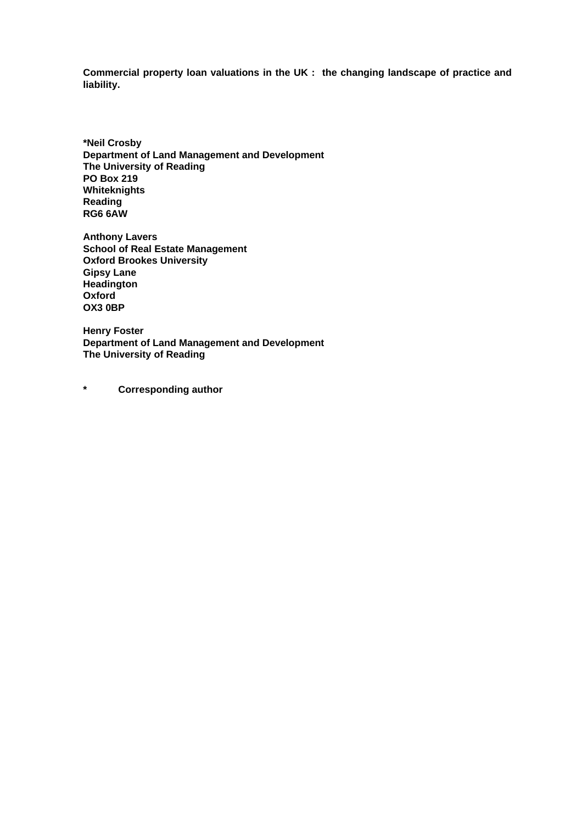**Commercial property loan valuations in the UK : the changing landscape of practice and liability.**

**\*Neil Crosby Department of Land Management and Development The University of Reading PO Box 219 Whiteknights Reading RG6 6AW**

**Anthony Lavers School of Real Estate Management Oxford Brookes University Gipsy Lane Headington Oxford OX3 0BP**

**Henry Foster Department of Land Management and Development The University of Reading**

**\* Corresponding author**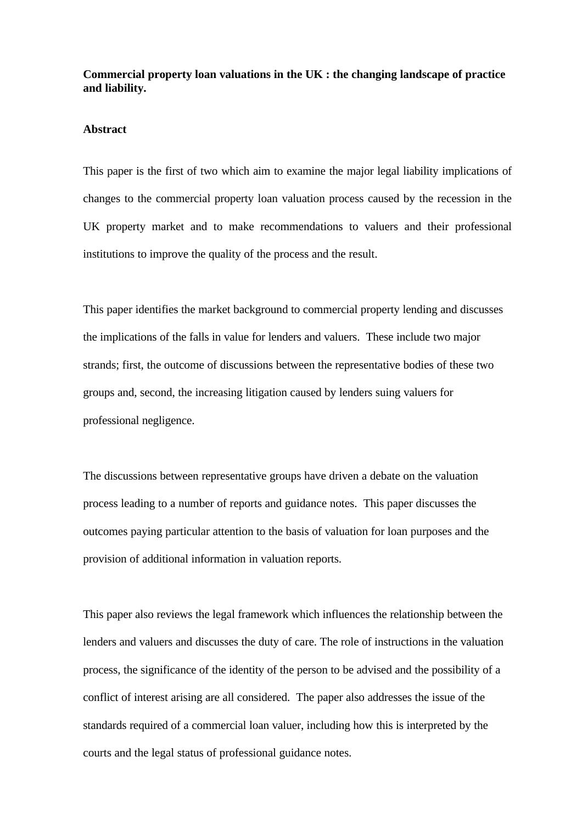# **Commercial property loan valuations in the UK : the changing landscape of practice and liability.**

#### **Abstract**

This paper is the first of two which aim to examine the major legal liability implications of changes to the commercial property loan valuation process caused by the recession in the UK property market and to make recommendations to valuers and their professional institutions to improve the quality of the process and the result.

This paper identifies the market background to commercial property lending and discusses the implications of the falls in value for lenders and valuers. These include two major strands; first, the outcome of discussions between the representative bodies of these two groups and, second, the increasing litigation caused by lenders suing valuers for professional negligence.

The discussions between representative groups have driven a debate on the valuation process leading to a number of reports and guidance notes. This paper discusses the outcomes paying particular attention to the basis of valuation for loan purposes and the provision of additional information in valuation reports.

This paper also reviews the legal framework which influences the relationship between the lenders and valuers and discusses the duty of care. The role of instructions in the valuation process, the significance of the identity of the person to be advised and the possibility of a conflict of interest arising are all considered. The paper also addresses the issue of the standards required of a commercial loan valuer, including how this is interpreted by the courts and the legal status of professional guidance notes.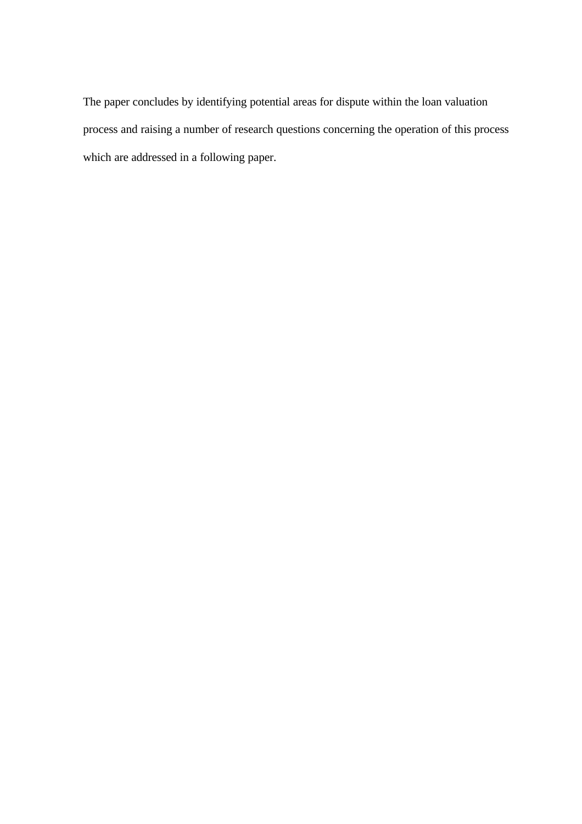The paper concludes by identifying potential areas for dispute within the loan valuation process and raising a number of research questions concerning the operation of this process which are addressed in a following paper.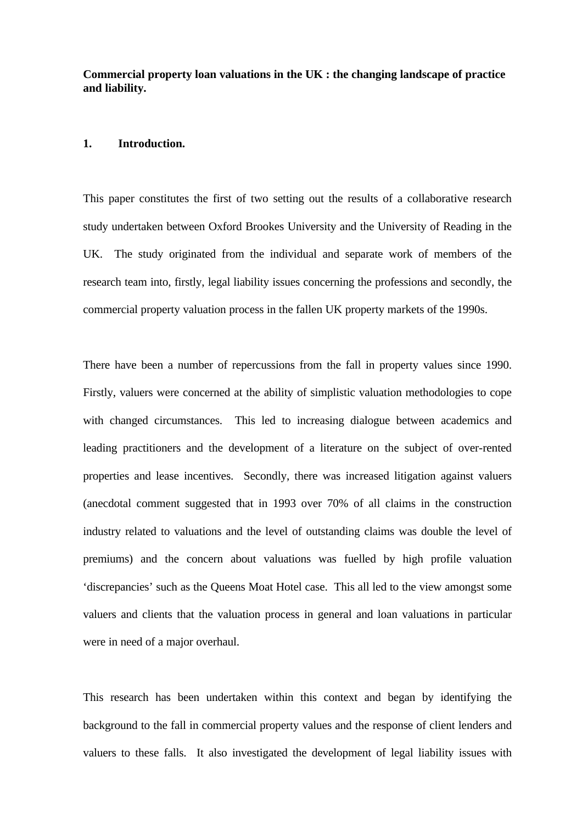**Commercial property loan valuations in the UK : the changing landscape of practice and liability.**

#### **1. Introduction.**

This paper constitutes the first of two setting out the results of a collaborative research study undertaken between Oxford Brookes University and the University of Reading in the UK. The study originated from the individual and separate work of members of the research team into, firstly, legal liability issues concerning the professions and secondly, the commercial property valuation process in the fallen UK property markets of the 1990s.

There have been a number of repercussions from the fall in property values since 1990. Firstly, valuers were concerned at the ability of simplistic valuation methodologies to cope with changed circumstances. This led to increasing dialogue between academics and leading practitioners and the development of a literature on the subject of over-rented properties and lease incentives. Secondly, there was increased litigation against valuers (anecdotal comment suggested that in 1993 over 70% of all claims in the construction industry related to valuations and the level of outstanding claims was double the level of premiums) and the concern about valuations was fuelled by high profile valuation 'discrepancies' such as the Queens Moat Hotel case. This all led to the view amongst some valuers and clients that the valuation process in general and loan valuations in particular were in need of a major overhaul.

This research has been undertaken within this context and began by identifying the background to the fall in commercial property values and the response of client lenders and valuers to these falls. It also investigated the development of legal liability issues with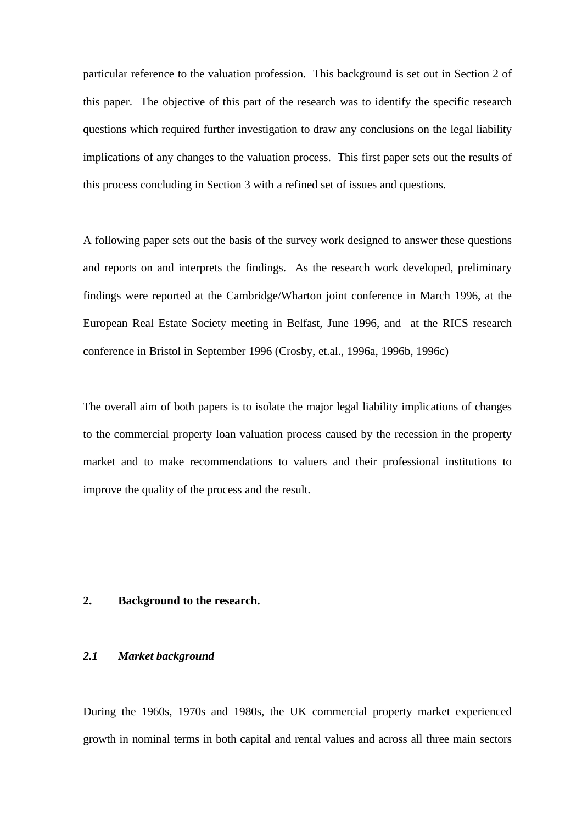particular reference to the valuation profession. This background is set out in Section 2 of this paper. The objective of this part of the research was to identify the specific research questions which required further investigation to draw any conclusions on the legal liability implications of any changes to the valuation process. This first paper sets out the results of this process concluding in Section 3 with a refined set of issues and questions.

A following paper sets out the basis of the survey work designed to answer these questions and reports on and interprets the findings. As the research work developed, preliminary findings were reported at the Cambridge/Wharton joint conference in March 1996, at the European Real Estate Society meeting in Belfast, June 1996, and at the RICS research conference in Bristol in September 1996 (Crosby, et.al., 1996a, 1996b, 1996c)

The overall aim of both papers is to isolate the major legal liability implications of changes to the commercial property loan valuation process caused by the recession in the property market and to make recommendations to valuers and their professional institutions to improve the quality of the process and the result.

# **2. Background to the research.**

### *2.1 Market background*

During the 1960s, 1970s and 1980s, the UK commercial property market experienced growth in nominal terms in both capital and rental values and across all three main sectors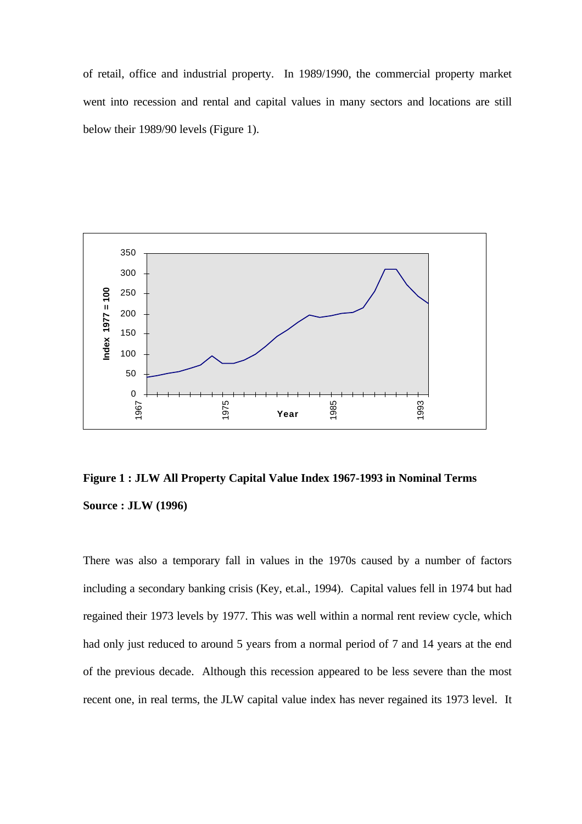of retail, office and industrial property. In 1989/1990, the commercial property market went into recession and rental and capital values in many sectors and locations are still below their 1989/90 levels (Figure 1).



**Figure 1 : JLW All Property Capital Value Index 1967-1993 in Nominal Terms Source : JLW (1996)**

There was also a temporary fall in values in the 1970s caused by a number of factors including a secondary banking crisis (Key, et.al., 1994). Capital values fell in 1974 but had regained their 1973 levels by 1977. This was well within a normal rent review cycle, which had only just reduced to around 5 years from a normal period of 7 and 14 years at the end of the previous decade. Although this recession appeared to be less severe than the most recent one, in real terms, the JLW capital value index has never regained its 1973 level. It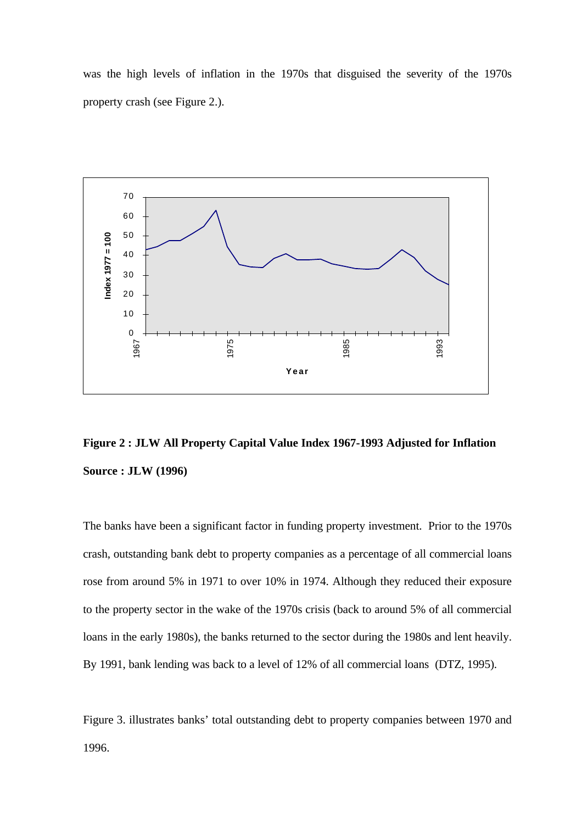was the high levels of inflation in the 1970s that disguised the severity of the 1970s property crash (see Figure 2.).



**Figure 2 : JLW All Property Capital Value Index 1967-1993 Adjusted for Inflation Source : JLW (1996)**

The banks have been a significant factor in funding property investment. Prior to the 1970s crash, outstanding bank debt to property companies as a percentage of all commercial loans rose from around 5% in 1971 to over 10% in 1974. Although they reduced their exposure to the property sector in the wake of the 1970s crisis (back to around 5% of all commercial loans in the early 1980s), the banks returned to the sector during the 1980s and lent heavily. By 1991, bank lending was back to a level of 12% of all commercial loans (DTZ, 1995).

Figure 3. illustrates banks' total outstanding debt to property companies between 1970 and 1996.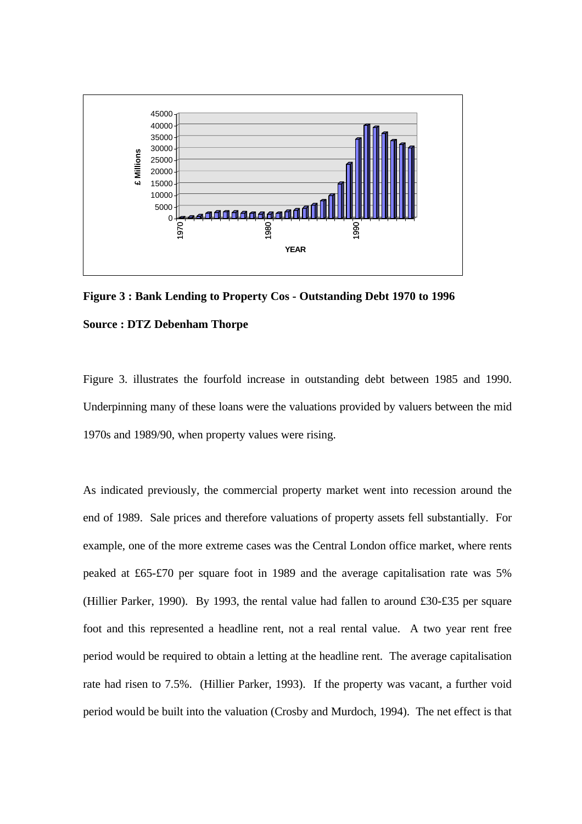

**Figure 3 : Bank Lending to Property Cos - Outstanding Debt 1970 to 1996 Source : DTZ Debenham Thorpe**

Figure 3. illustrates the fourfold increase in outstanding debt between 1985 and 1990. Underpinning many of these loans were the valuations provided by valuers between the mid 1970s and 1989/90, when property values were rising.

As indicated previously, the commercial property market went into recession around the end of 1989. Sale prices and therefore valuations of property assets fell substantially. For example, one of the more extreme cases was the Central London office market, where rents peaked at £65-£70 per square foot in 1989 and the average capitalisation rate was 5% (Hillier Parker, 1990). By 1993, the rental value had fallen to around £30-£35 per square foot and this represented a headline rent, not a real rental value. A two year rent free period would be required to obtain a letting at the headline rent. The average capitalisation rate had risen to 7.5%. (Hillier Parker, 1993). If the property was vacant, a further void period would be built into the valuation (Crosby and Murdoch, 1994). The net effect is that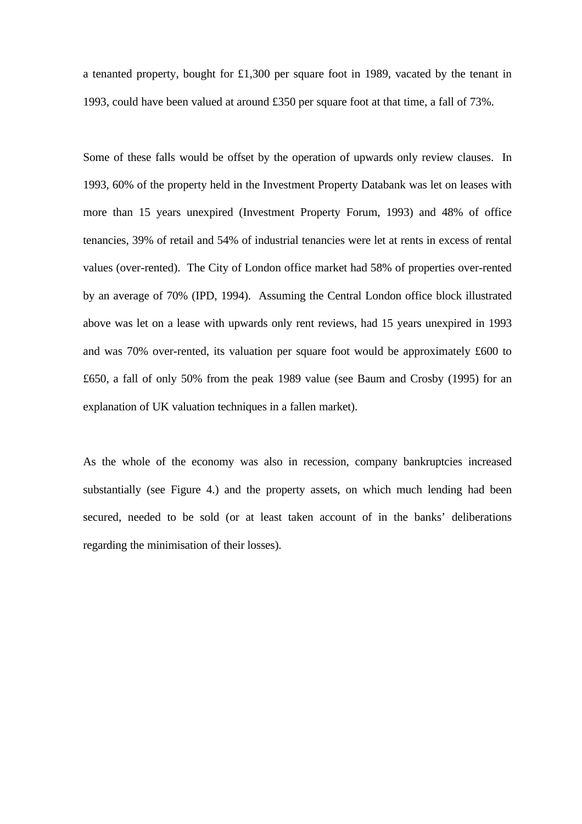a tenanted property, bought for £1,300 per square foot in 1989, vacated by the tenant in 1993, could have been valued at around £350 per square foot at that time, a fall of 73%.

Some of these falls would be offset by the operation of upwards only review clauses. In 1993, 60% of the property held in the Investment Property Databank was let on leases with more than 15 years unexpired (Investment Property Forum, 1993) and 48% of office tenancies, 39% of retail and 54% of industrial tenancies were let at rents in excess of rental values (over-rented). The City of London office market had 58% of properties over-rented by an average of 70% (IPD, 1994). Assuming the Central London office block illustrated above was let on a lease with upwards only rent reviews, had 15 years unexpired in 1993 and was 70% over-rented, its valuation per square foot would be approximately £600 to £650, a fall of only 50% from the peak 1989 value (see Baum and Crosby (1995) for an explanation of UK valuation techniques in a fallen market).

As the whole of the economy was also in recession, company bankruptcies increased substantially (see Figure 4.) and the property assets, on which much lending had been secured, needed to be sold (or at least taken account of in the banks' deliberations regarding the minimisation of their losses).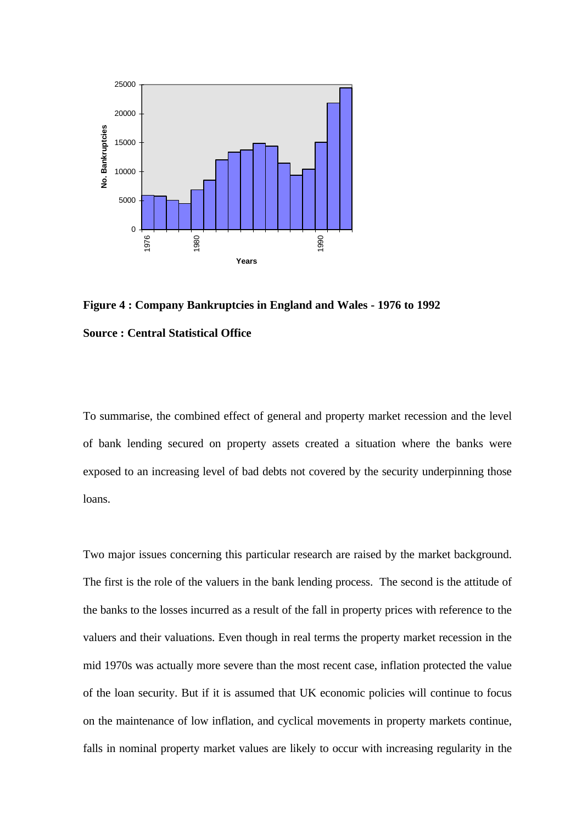

**Figure 4 : Company Bankruptcies in England and Wales - 1976 to 1992 Source : Central Statistical Office**

To summarise, the combined effect of general and property market recession and the level of bank lending secured on property assets created a situation where the banks were exposed to an increasing level of bad debts not covered by the security underpinning those loans.

Two major issues concerning this particular research are raised by the market background. The first is the role of the valuers in the bank lending process. The second is the attitude of the banks to the losses incurred as a result of the fall in property prices with reference to the valuers and their valuations. Even though in real terms the property market recession in the mid 1970s was actually more severe than the most recent case, inflation protected the value of the loan security. But if it is assumed that UK economic policies will continue to focus on the maintenance of low inflation, and cyclical movements in property markets continue, falls in nominal property market values are likely to occur with increasing regularity in the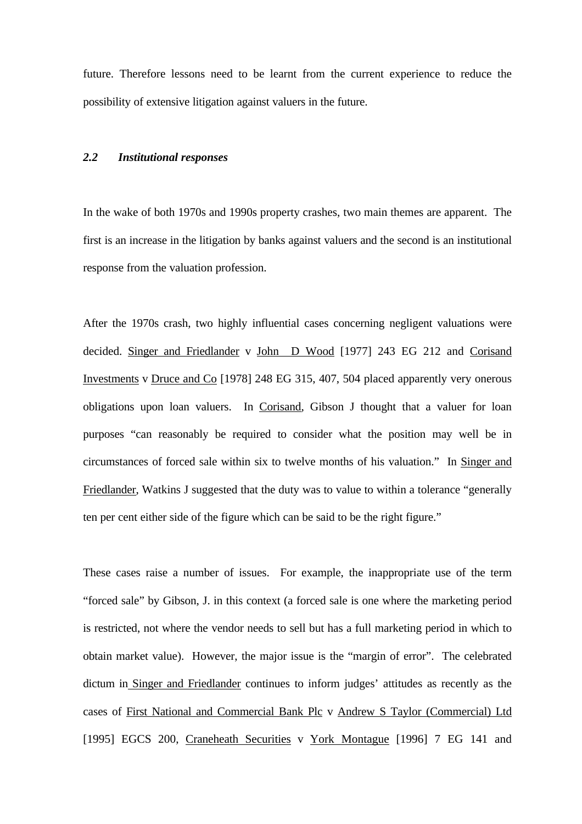future. Therefore lessons need to be learnt from the current experience to reduce the possibility of extensive litigation against valuers in the future.

## *2.2 Institutional responses*

In the wake of both 1970s and 1990s property crashes, two main themes are apparent. The first is an increase in the litigation by banks against valuers and the second is an institutional response from the valuation profession.

After the 1970s crash, two highly influential cases concerning negligent valuations were decided. Singer and Friedlander v John D Wood [1977] 243 EG 212 and Corisand Investments v Druce and Co [1978] 248 EG 315, 407, 504 placed apparently very onerous obligations upon loan valuers. In Corisand, Gibson J thought that a valuer for loan purposes "can reasonably be required to consider what the position may well be in circumstances of forced sale within six to twelve months of his valuation." In Singer and Friedlander, Watkins J suggested that the duty was to value to within a tolerance "generally ten per cent either side of the figure which can be said to be the right figure."

These cases raise a number of issues. For example, the inappropriate use of the term "forced sale" by Gibson, J. in this context (a forced sale is one where the marketing period is restricted, not where the vendor needs to sell but has a full marketing period in which to obtain market value). However, the major issue is the "margin of error". The celebrated dictum in Singer and Friedlander continues to inform judges' attitudes as recently as the cases of First National and Commercial Bank Plc v Andrew S Taylor (Commercial) Ltd [1995] EGCS 200, Craneheath Securities v York Montague [1996] 7 EG 141 and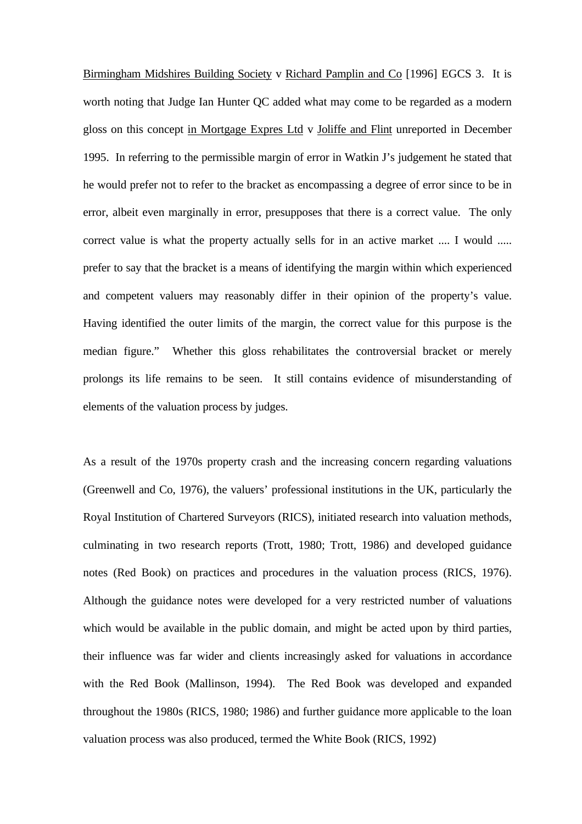Birmingham Midshires Building Society v Richard Pamplin and Co [1996] EGCS 3. It is worth noting that Judge Ian Hunter QC added what may come to be regarded as a modern gloss on this concept in Mortgage Expres Ltd v Joliffe and Flint unreported in December 1995. In referring to the permissible margin of error in Watkin J's judgement he stated that he would prefer not to refer to the bracket as encompassing a degree of error since to be in error, albeit even marginally in error, presupposes that there is a correct value. The only correct value is what the property actually sells for in an active market .... I would ..... prefer to say that the bracket is a means of identifying the margin within which experienced and competent valuers may reasonably differ in their opinion of the property's value. Having identified the outer limits of the margin, the correct value for this purpose is the median figure." Whether this gloss rehabilitates the controversial bracket or merely prolongs its life remains to be seen. It still contains evidence of misunderstanding of elements of the valuation process by judges.

As a result of the 1970s property crash and the increasing concern regarding valuations (Greenwell and Co, 1976), the valuers' professional institutions in the UK, particularly the Royal Institution of Chartered Surveyors (RICS), initiated research into valuation methods, culminating in two research reports (Trott, 1980; Trott, 1986) and developed guidance notes (Red Book) on practices and procedures in the valuation process (RICS, 1976). Although the guidance notes were developed for a very restricted number of valuations which would be available in the public domain, and might be acted upon by third parties, their influence was far wider and clients increasingly asked for valuations in accordance with the Red Book (Mallinson, 1994). The Red Book was developed and expanded throughout the 1980s (RICS, 1980; 1986) and further guidance more applicable to the loan valuation process was also produced, termed the White Book (RICS, 1992)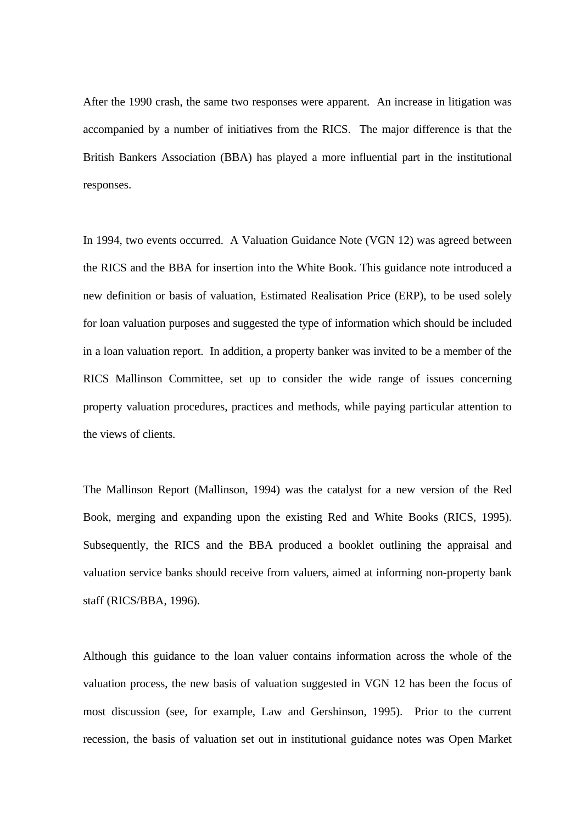After the 1990 crash, the same two responses were apparent. An increase in litigation was accompanied by a number of initiatives from the RICS. The major difference is that the British Bankers Association (BBA) has played a more influential part in the institutional responses.

In 1994, two events occurred. A Valuation Guidance Note (VGN 12) was agreed between the RICS and the BBA for insertion into the White Book. This guidance note introduced a new definition or basis of valuation, Estimated Realisation Price (ERP), to be used solely for loan valuation purposes and suggested the type of information which should be included in a loan valuation report. In addition, a property banker was invited to be a member of the RICS Mallinson Committee, set up to consider the wide range of issues concerning property valuation procedures, practices and methods, while paying particular attention to the views of clients.

The Mallinson Report (Mallinson, 1994) was the catalyst for a new version of the Red Book, merging and expanding upon the existing Red and White Books (RICS, 1995). Subsequently, the RICS and the BBA produced a booklet outlining the appraisal and valuation service banks should receive from valuers, aimed at informing non-property bank staff (RICS/BBA, 1996).

Although this guidance to the loan valuer contains information across the whole of the valuation process, the new basis of valuation suggested in VGN 12 has been the focus of most discussion (see, for example, Law and Gershinson, 1995). Prior to the current recession, the basis of valuation set out in institutional guidance notes was Open Market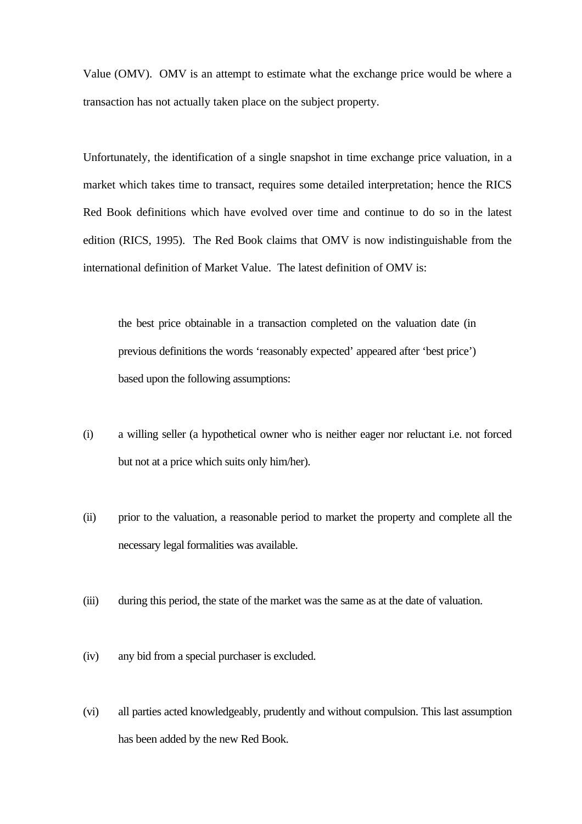Value (OMV). OMV is an attempt to estimate what the exchange price would be where a transaction has not actually taken place on the subject property.

Unfortunately, the identification of a single snapshot in time exchange price valuation, in a market which takes time to transact, requires some detailed interpretation; hence the RICS Red Book definitions which have evolved over time and continue to do so in the latest edition (RICS, 1995). The Red Book claims that OMV is now indistinguishable from the international definition of Market Value. The latest definition of OMV is:

the best price obtainable in a transaction completed on the valuation date (in previous definitions the words 'reasonably expected' appeared after 'best price') based upon the following assumptions:

- (i) a willing seller (a hypothetical owner who is neither eager nor reluctant i.e. not forced but not at a price which suits only him/her).
- (ii) prior to the valuation, a reasonable period to market the property and complete all the necessary legal formalities was available.
- (iii) during this period, the state of the market was the same as at the date of valuation.
- (iv) any bid from a special purchaser is excluded.
- (vi) all parties acted knowledgeably, prudently and without compulsion. This last assumption has been added by the new Red Book.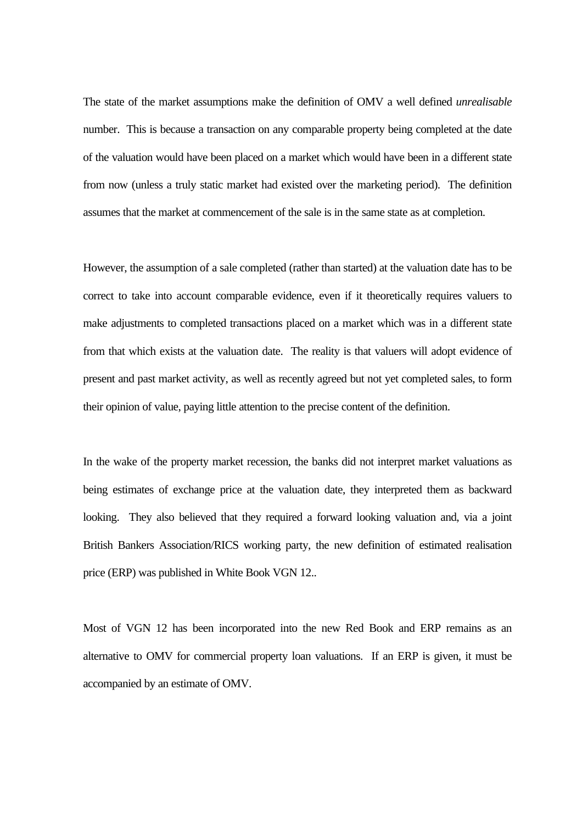The state of the market assumptions make the definition of OMV a well defined *unrealisable* number. This is because a transaction on any comparable property being completed at the date of the valuation would have been placed on a market which would have been in a different state from now (unless a truly static market had existed over the marketing period). The definition assumes that the market at commencement of the sale is in the same state as at completion.

However, the assumption of a sale completed (rather than started) at the valuation date has to be correct to take into account comparable evidence, even if it theoretically requires valuers to make adjustments to completed transactions placed on a market which was in a different state from that which exists at the valuation date. The reality is that valuers will adopt evidence of present and past market activity, as well as recently agreed but not yet completed sales, to form their opinion of value, paying little attention to the precise content of the definition.

In the wake of the property market recession, the banks did not interpret market valuations as being estimates of exchange price at the valuation date, they interpreted them as backward looking. They also believed that they required a forward looking valuation and, via a joint British Bankers Association/RICS working party, the new definition of estimated realisation price (ERP) was published in White Book VGN 12..

Most of VGN 12 has been incorporated into the new Red Book and ERP remains as an alternative to OMV for commercial property loan valuations. If an ERP is given, it must be accompanied by an estimate of OMV.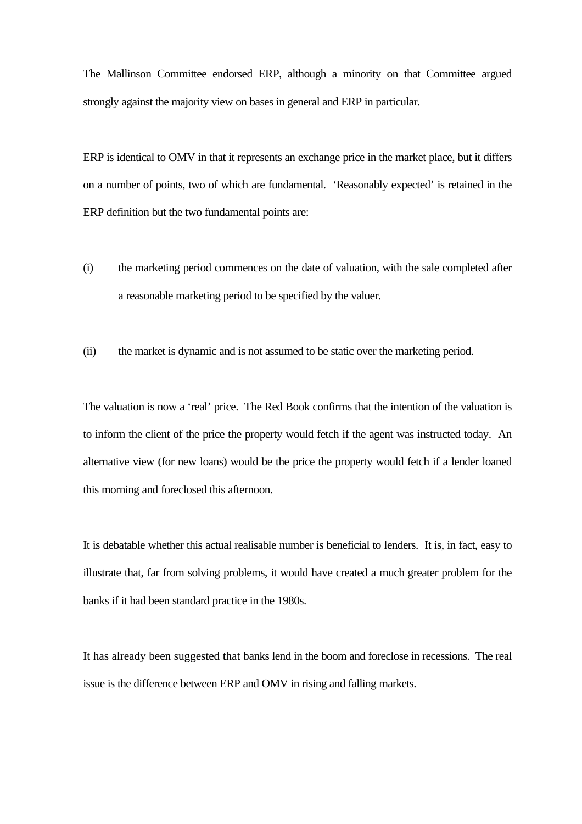The Mallinson Committee endorsed ERP, although a minority on that Committee argued strongly against the majority view on bases in general and ERP in particular.

ERP is identical to OMV in that it represents an exchange price in the market place, but it differs on a number of points, two of which are fundamental. 'Reasonably expected' is retained in the ERP definition but the two fundamental points are:

- (i) the marketing period commences on the date of valuation, with the sale completed after a reasonable marketing period to be specified by the valuer.
- (ii) the market is dynamic and is not assumed to be static over the marketing period.

The valuation is now a 'real' price. The Red Book confirms that the intention of the valuation is to inform the client of the price the property would fetch if the agent was instructed today. An alternative view (for new loans) would be the price the property would fetch if a lender loaned this morning and foreclosed this afternoon.

It is debatable whether this actual realisable number is beneficial to lenders. It is, in fact, easy to illustrate that, far from solving problems, it would have created a much greater problem for the banks if it had been standard practice in the 1980s.

It has already been suggested that banks lend in the boom and foreclose in recessions. The real issue is the difference between ERP and OMV in rising and falling markets.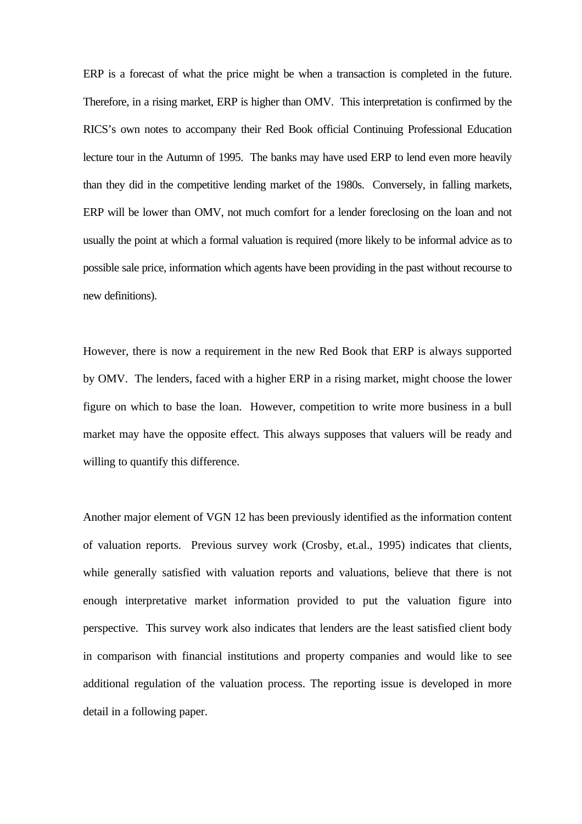ERP is a forecast of what the price might be when a transaction is completed in the future. Therefore, in a rising market, ERP is higher than OMV. This interpretation is confirmed by the RICS's own notes to accompany their Red Book official Continuing Professional Education lecture tour in the Autumn of 1995. The banks may have used ERP to lend even more heavily than they did in the competitive lending market of the 1980s. Conversely, in falling markets, ERP will be lower than OMV, not much comfort for a lender foreclosing on the loan and not usually the point at which a formal valuation is required (more likely to be informal advice as to possible sale price, information which agents have been providing in the past without recourse to new definitions).

However, there is now a requirement in the new Red Book that ERP is always supported by OMV. The lenders, faced with a higher ERP in a rising market, might choose the lower figure on which to base the loan. However, competition to write more business in a bull market may have the opposite effect. This always supposes that valuers will be ready and willing to quantify this difference.

Another major element of VGN 12 has been previously identified as the information content of valuation reports. Previous survey work (Crosby, et.al., 1995) indicates that clients, while generally satisfied with valuation reports and valuations, believe that there is not enough interpretative market information provided to put the valuation figure into perspective. This survey work also indicates that lenders are the least satisfied client body in comparison with financial institutions and property companies and would like to see additional regulation of the valuation process. The reporting issue is developed in more detail in a following paper.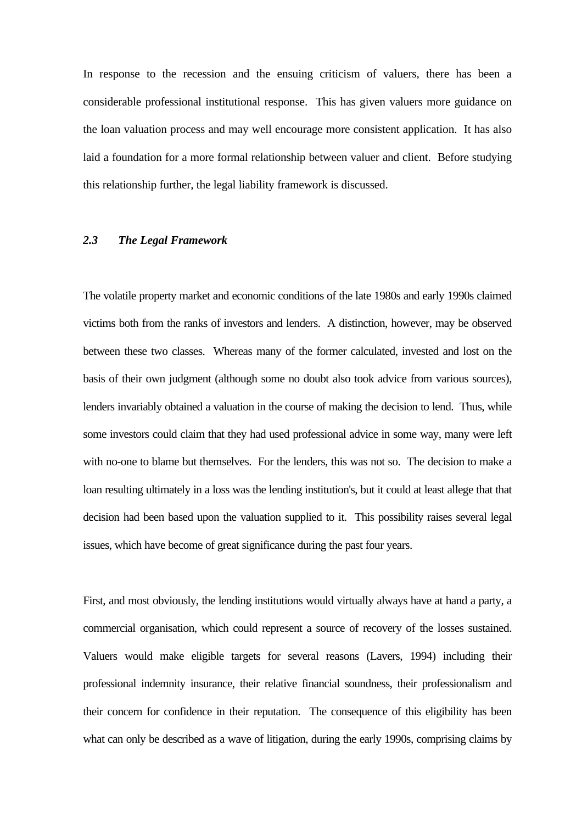In response to the recession and the ensuing criticism of valuers, there has been a considerable professional institutional response. This has given valuers more guidance on the loan valuation process and may well encourage more consistent application. It has also laid a foundation for a more formal relationship between valuer and client. Before studying this relationship further, the legal liability framework is discussed.

## *2.3 The Legal Framework*

The volatile property market and economic conditions of the late 1980s and early 1990s claimed victims both from the ranks of investors and lenders. A distinction, however, may be observed between these two classes. Whereas many of the former calculated, invested and lost on the basis of their own judgment (although some no doubt also took advice from various sources), lenders invariably obtained a valuation in the course of making the decision to lend. Thus, while some investors could claim that they had used professional advice in some way, many were left with no-one to blame but themselves. For the lenders, this was not so. The decision to make a loan resulting ultimately in a loss was the lending institution's, but it could at least allege that that decision had been based upon the valuation supplied to it. This possibility raises several legal issues, which have become of great significance during the past four years.

First, and most obviously, the lending institutions would virtually always have at hand a party, a commercial organisation, which could represent a source of recovery of the losses sustained. Valuers would make eligible targets for several reasons (Lavers, 1994) including their professional indemnity insurance, their relative financial soundness, their professionalism and their concern for confidence in their reputation. The consequence of this eligibility has been what can only be described as a wave of litigation, during the early 1990s, comprising claims by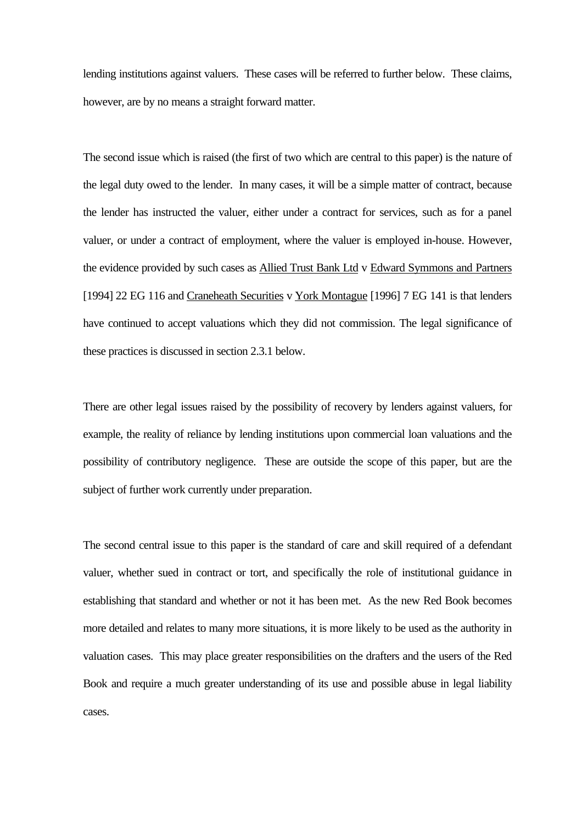lending institutions against valuers. These cases will be referred to further below. These claims, however, are by no means a straight forward matter.

The second issue which is raised (the first of two which are central to this paper) is the nature of the legal duty owed to the lender. In many cases, it will be a simple matter of contract, because the lender has instructed the valuer, either under a contract for services, such as for a panel valuer, or under a contract of employment, where the valuer is employed in-house. However, the evidence provided by such cases as Allied Trust Bank Ltd v Edward Symmons and Partners [1994] 22 EG 116 and Craneheath Securities v York Montague [1996] 7 EG 141 is that lenders have continued to accept valuations which they did not commission. The legal significance of these practices is discussed in section 2.3.1 below.

There are other legal issues raised by the possibility of recovery by lenders against valuers, for example, the reality of reliance by lending institutions upon commercial loan valuations and the possibility of contributory negligence. These are outside the scope of this paper, but are the subject of further work currently under preparation.

The second central issue to this paper is the standard of care and skill required of a defendant valuer, whether sued in contract or tort, and specifically the role of institutional guidance in establishing that standard and whether or not it has been met. As the new Red Book becomes more detailed and relates to many more situations, it is more likely to be used as the authority in valuation cases. This may place greater responsibilities on the drafters and the users of the Red Book and require a much greater understanding of its use and possible abuse in legal liability cases.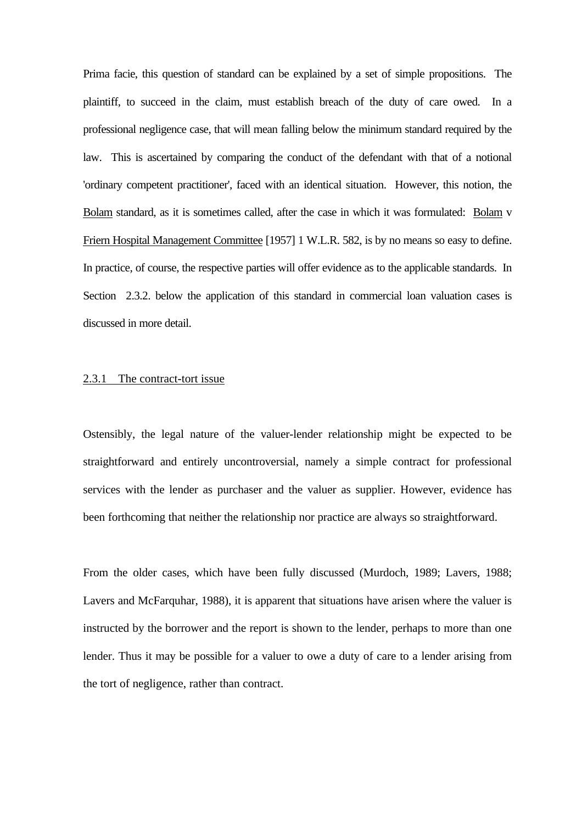Prima facie, this question of standard can be explained by a set of simple propositions. The plaintiff, to succeed in the claim, must establish breach of the duty of care owed. In a professional negligence case, that will mean falling below the minimum standard required by the law. This is ascertained by comparing the conduct of the defendant with that of a notional 'ordinary competent practitioner', faced with an identical situation. However, this notion, the Bolam standard, as it is sometimes called, after the case in which it was formulated: Bolam v Friern Hospital Management Committee [1957] 1 W.L.R. 582, is by no means so easy to define. In practice, of course, the respective parties will offer evidence as to the applicable standards. In Section 2.3.2. below the application of this standard in commercial loan valuation cases is discussed in more detail.

#### 2.3.1 The contract-tort issue

Ostensibly, the legal nature of the valuer-lender relationship might be expected to be straightforward and entirely uncontroversial, namely a simple contract for professional services with the lender as purchaser and the valuer as supplier. However, evidence has been forthcoming that neither the relationship nor practice are always so straightforward.

From the older cases, which have been fully discussed (Murdoch, 1989; Lavers, 1988; Lavers and McFarquhar, 1988), it is apparent that situations have arisen where the valuer is instructed by the borrower and the report is shown to the lender, perhaps to more than one lender. Thus it may be possible for a valuer to owe a duty of care to a lender arising from the tort of negligence, rather than contract.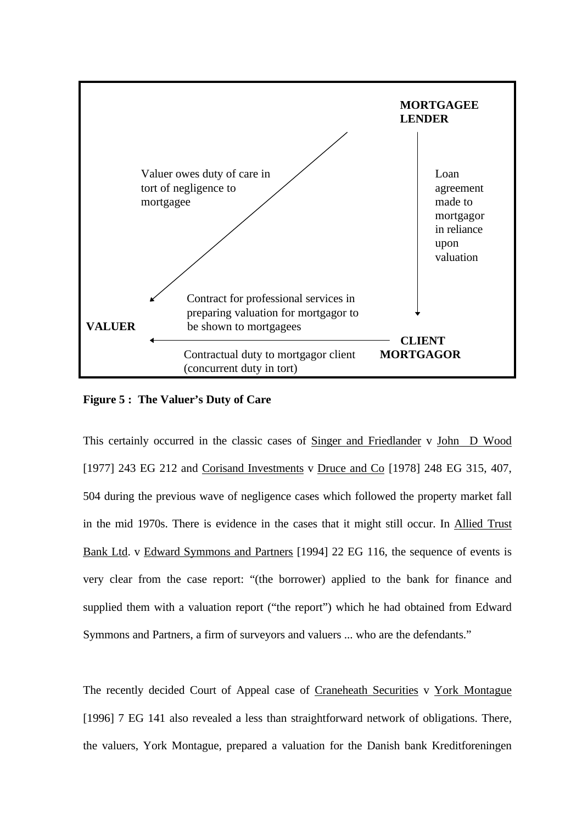

**Figure 5 : The Valuer's Duty of Care**

This certainly occurred in the classic cases of Singer and Friedlander v John D Wood [1977] 243 EG 212 and Corisand Investments v Druce and Co [1978] 248 EG 315, 407, 504 during the previous wave of negligence cases which followed the property market fall in the mid 1970s. There is evidence in the cases that it might still occur. In Allied Trust Bank Ltd. v Edward Symmons and Partners [1994] 22 EG 116, the sequence of events is very clear from the case report: "(the borrower) applied to the bank for finance and supplied them with a valuation report ("the report") which he had obtained from Edward Symmons and Partners, a firm of surveyors and valuers ... who are the defendants."

The recently decided Court of Appeal case of Craneheath Securities v York Montague [1996] 7 EG 141 also revealed a less than straightforward network of obligations. There, the valuers, York Montague, prepared a valuation for the Danish bank Kreditforeningen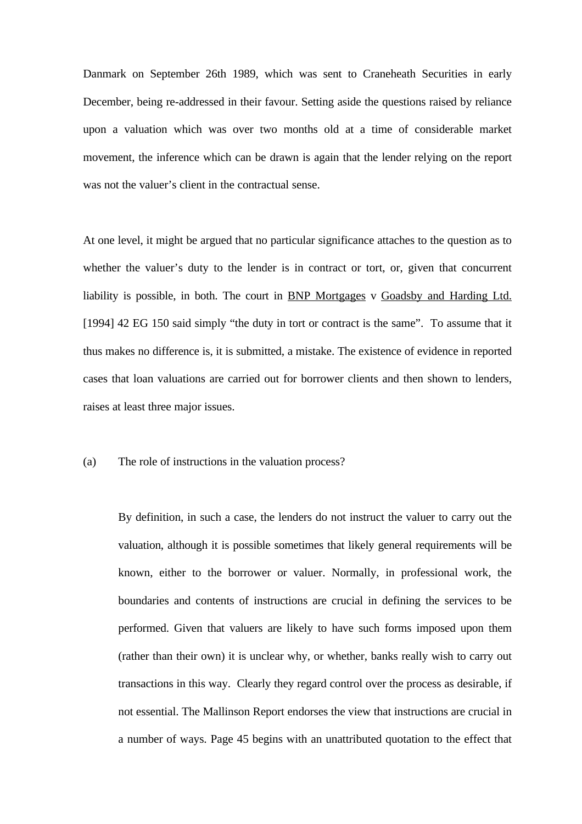Danmark on September 26th 1989, which was sent to Craneheath Securities in early December, being re-addressed in their favour. Setting aside the questions raised by reliance upon a valuation which was over two months old at a time of considerable market movement, the inference which can be drawn is again that the lender relying on the report was not the valuer's client in the contractual sense.

At one level, it might be argued that no particular significance attaches to the question as to whether the valuer's duty to the lender is in contract or tort, or, given that concurrent liability is possible, in both. The court in BNP Mortgages v Goadsby and Harding Ltd. [1994] 42 EG 150 said simply "the duty in tort or contract is the same". To assume that it thus makes no difference is, it is submitted, a mistake. The existence of evidence in reported cases that loan valuations are carried out for borrower clients and then shown to lenders, raises at least three major issues.

#### (a) The role of instructions in the valuation process?

By definition, in such a case, the lenders do not instruct the valuer to carry out the valuation, although it is possible sometimes that likely general requirements will be known, either to the borrower or valuer. Normally, in professional work, the boundaries and contents of instructions are crucial in defining the services to be performed. Given that valuers are likely to have such forms imposed upon them (rather than their own) it is unclear why, or whether, banks really wish to carry out transactions in this way. Clearly they regard control over the process as desirable, if not essential. The Mallinson Report endorses the view that instructions are crucial in a number of ways. Page 45 begins with an unattributed quotation to the effect that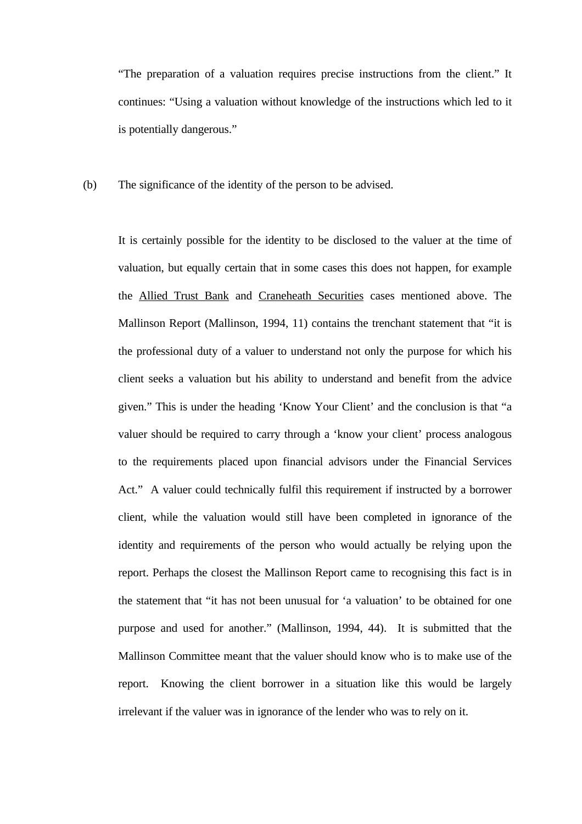"The preparation of a valuation requires precise instructions from the client." It continues: "Using a valuation without knowledge of the instructions which led to it is potentially dangerous."

(b) The significance of the identity of the person to be advised.

It is certainly possible for the identity to be disclosed to the valuer at the time of valuation, but equally certain that in some cases this does not happen, for example the Allied Trust Bank and Craneheath Securities cases mentioned above. The Mallinson Report (Mallinson, 1994, 11) contains the trenchant statement that "it is the professional duty of a valuer to understand not only the purpose for which his client seeks a valuation but his ability to understand and benefit from the advice given." This is under the heading 'Know Your Client' and the conclusion is that "a valuer should be required to carry through a 'know your client' process analogous to the requirements placed upon financial advisors under the Financial Services Act." A valuer could technically fulfil this requirement if instructed by a borrower client, while the valuation would still have been completed in ignorance of the identity and requirements of the person who would actually be relying upon the report. Perhaps the closest the Mallinson Report came to recognising this fact is in the statement that "it has not been unusual for 'a valuation' to be obtained for one purpose and used for another." (Mallinson, 1994, 44). It is submitted that the Mallinson Committee meant that the valuer should know who is to make use of the report. Knowing the client borrower in a situation like this would be largely irrelevant if the valuer was in ignorance of the lender who was to rely on it.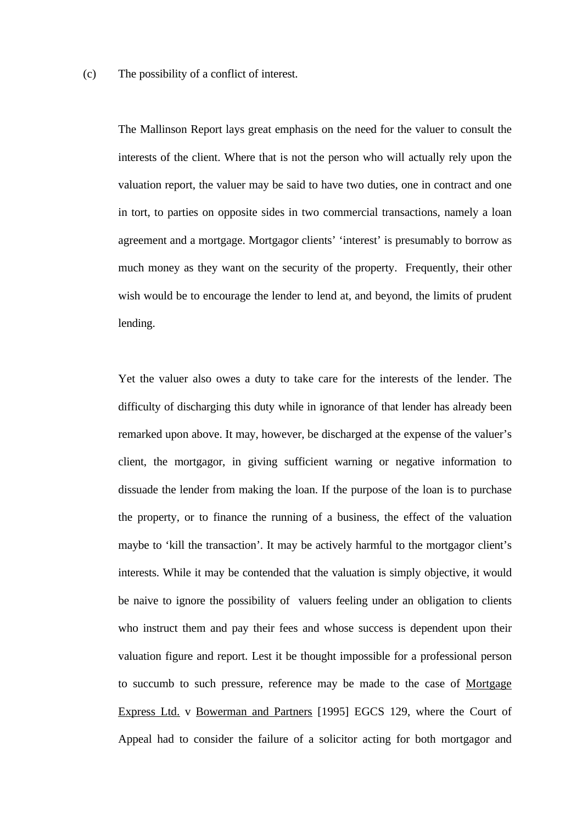The Mallinson Report lays great emphasis on the need for the valuer to consult the interests of the client. Where that is not the person who will actually rely upon the valuation report, the valuer may be said to have two duties, one in contract and one in tort, to parties on opposite sides in two commercial transactions, namely a loan agreement and a mortgage. Mortgagor clients' 'interest' is presumably to borrow as much money as they want on the security of the property. Frequently, their other wish would be to encourage the lender to lend at, and beyond, the limits of prudent lending.

Yet the valuer also owes a duty to take care for the interests of the lender. The difficulty of discharging this duty while in ignorance of that lender has already been remarked upon above. It may, however, be discharged at the expense of the valuer's client, the mortgagor, in giving sufficient warning or negative information to dissuade the lender from making the loan. If the purpose of the loan is to purchase the property, or to finance the running of a business, the effect of the valuation maybe to 'kill the transaction'. It may be actively harmful to the mortgagor client's interests. While it may be contended that the valuation is simply objective, it would be naive to ignore the possibility of valuers feeling under an obligation to clients who instruct them and pay their fees and whose success is dependent upon their valuation figure and report. Lest it be thought impossible for a professional person to succumb to such pressure, reference may be made to the case of Mortgage Express Ltd. v Bowerman and Partners [1995] EGCS 129, where the Court of Appeal had to consider the failure of a solicitor acting for both mortgagor and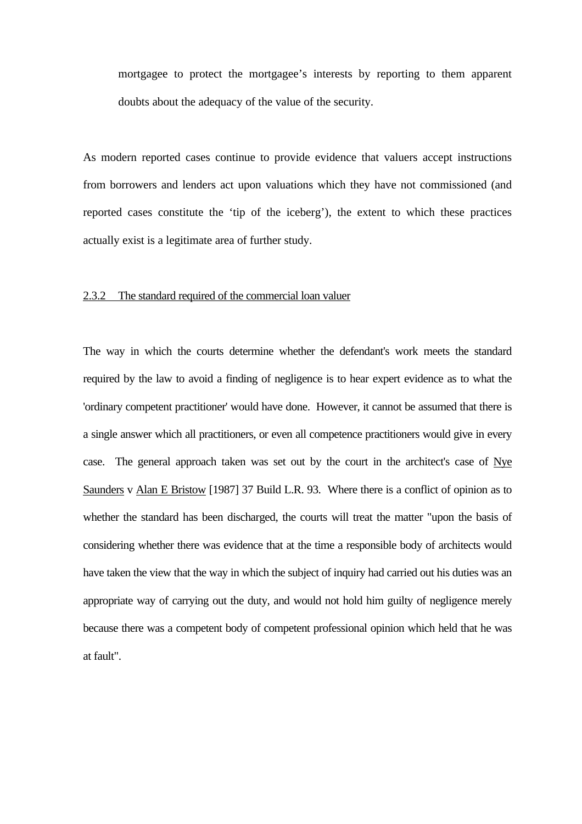mortgagee to protect the mortgagee's interests by reporting to them apparent doubts about the adequacy of the value of the security.

As modern reported cases continue to provide evidence that valuers accept instructions from borrowers and lenders act upon valuations which they have not commissioned (and reported cases constitute the 'tip of the iceberg'), the extent to which these practices actually exist is a legitimate area of further study.

### 2.3.2 The standard required of the commercial loan valuer

The way in which the courts determine whether the defendant's work meets the standard required by the law to avoid a finding of negligence is to hear expert evidence as to what the 'ordinary competent practitioner' would have done. However, it cannot be assumed that there is a single answer which all practitioners, or even all competence practitioners would give in every case. The general approach taken was set out by the court in the architect's case of Nye Saunders v Alan E Bristow [1987] 37 Build L.R. 93. Where there is a conflict of opinion as to whether the standard has been discharged, the courts will treat the matter "upon the basis of considering whether there was evidence that at the time a responsible body of architects would have taken the view that the way in which the subject of inquiry had carried out his duties was an appropriate way of carrying out the duty, and would not hold him guilty of negligence merely because there was a competent body of competent professional opinion which held that he was at fault".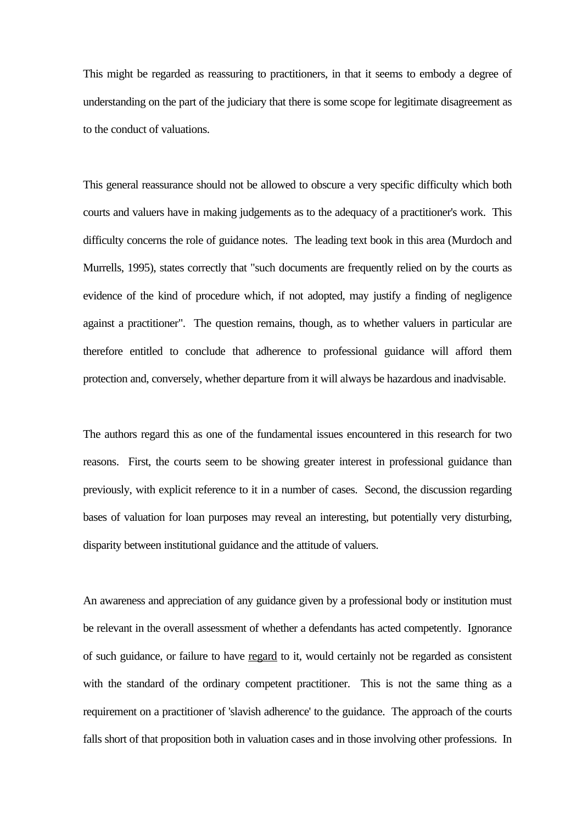This might be regarded as reassuring to practitioners, in that it seems to embody a degree of understanding on the part of the judiciary that there is some scope for legitimate disagreement as to the conduct of valuations.

This general reassurance should not be allowed to obscure a very specific difficulty which both courts and valuers have in making judgements as to the adequacy of a practitioner's work. This difficulty concerns the role of guidance notes. The leading text book in this area (Murdoch and Murrells, 1995), states correctly that "such documents are frequently relied on by the courts as evidence of the kind of procedure which, if not adopted, may justify a finding of negligence against a practitioner". The question remains, though, as to whether valuers in particular are therefore entitled to conclude that adherence to professional guidance will afford them protection and, conversely, whether departure from it will always be hazardous and inadvisable.

The authors regard this as one of the fundamental issues encountered in this research for two reasons. First, the courts seem to be showing greater interest in professional guidance than previously, with explicit reference to it in a number of cases. Second, the discussion regarding bases of valuation for loan purposes may reveal an interesting, but potentially very disturbing, disparity between institutional guidance and the attitude of valuers.

An awareness and appreciation of any guidance given by a professional body or institution must be relevant in the overall assessment of whether a defendants has acted competently. Ignorance of such guidance, or failure to have regard to it, would certainly not be regarded as consistent with the standard of the ordinary competent practitioner. This is not the same thing as a requirement on a practitioner of 'slavish adherence' to the guidance. The approach of the courts falls short of that proposition both in valuation cases and in those involving other professions. In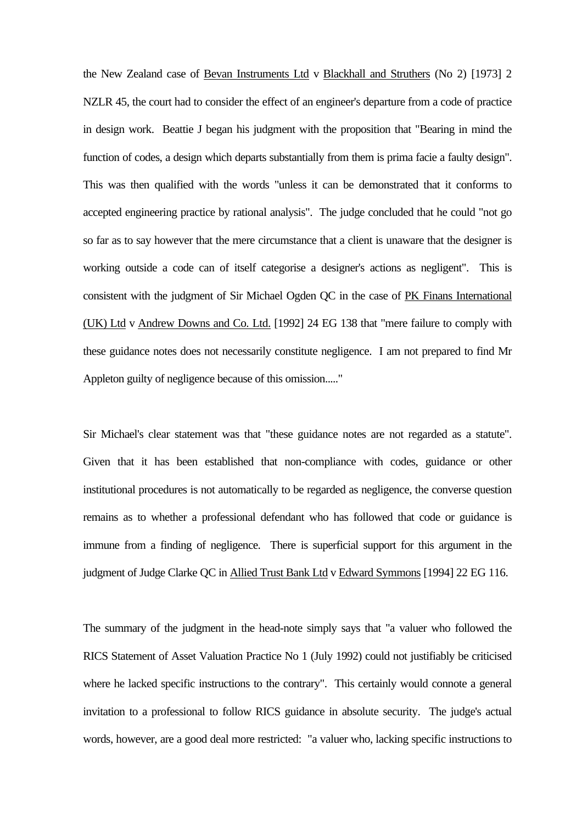the New Zealand case of Bevan Instruments Ltd v Blackhall and Struthers (No 2) [1973] 2 NZLR 45, the court had to consider the effect of an engineer's departure from a code of practice in design work. Beattie J began his judgment with the proposition that "Bearing in mind the function of codes, a design which departs substantially from them is prima facie a faulty design". This was then qualified with the words "unless it can be demonstrated that it conforms to accepted engineering practice by rational analysis". The judge concluded that he could "not go so far as to say however that the mere circumstance that a client is unaware that the designer is working outside a code can of itself categorise a designer's actions as negligent". This is consistent with the judgment of Sir Michael Ogden QC in the case of PK Finans International (UK) Ltd v Andrew Downs and Co. Ltd. [1992] 24 EG 138 that "mere failure to comply with these guidance notes does not necessarily constitute negligence. I am not prepared to find Mr Appleton guilty of negligence because of this omission....."

Sir Michael's clear statement was that "these guidance notes are not regarded as a statute". Given that it has been established that non-compliance with codes, guidance or other institutional procedures is not automatically to be regarded as negligence, the converse question remains as to whether a professional defendant who has followed that code or guidance is immune from a finding of negligence. There is superficial support for this argument in the judgment of Judge Clarke QC in Allied Trust Bank Ltd v Edward Symmons [1994] 22 EG 116.

The summary of the judgment in the head-note simply says that "a valuer who followed the RICS Statement of Asset Valuation Practice No 1 (July 1992) could not justifiably be criticised where he lacked specific instructions to the contrary". This certainly would connote a general invitation to a professional to follow RICS guidance in absolute security. The judge's actual words, however, are a good deal more restricted: "a valuer who, lacking specific instructions to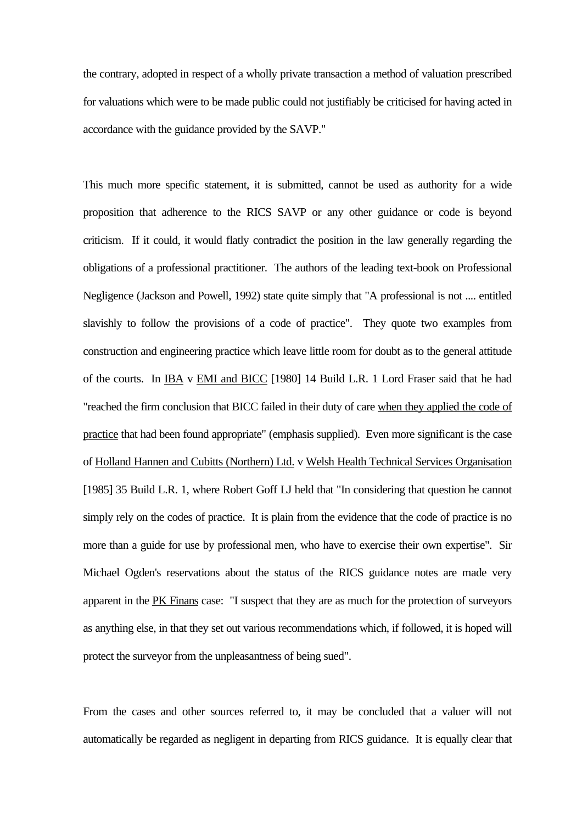the contrary, adopted in respect of a wholly private transaction a method of valuation prescribed for valuations which were to be made public could not justifiably be criticised for having acted in accordance with the guidance provided by the SAVP."

This much more specific statement, it is submitted, cannot be used as authority for a wide proposition that adherence to the RICS SAVP or any other guidance or code is beyond criticism. If it could, it would flatly contradict the position in the law generally regarding the obligations of a professional practitioner. The authors of the leading text-book on Professional Negligence (Jackson and Powell, 1992) state quite simply that "A professional is not .... entitled slavishly to follow the provisions of a code of practice". They quote two examples from construction and engineering practice which leave little room for doubt as to the general attitude of the courts. In IBA v EMI and BICC [1980] 14 Build L.R. 1 Lord Fraser said that he had "reached the firm conclusion that BICC failed in their duty of care when they applied the code of practice that had been found appropriate" (emphasis supplied). Even more significant is the case of Holland Hannen and Cubitts (Northern) Ltd. v Welsh Health Technical Services Organisation [1985] 35 Build L.R. 1, where Robert Goff LJ held that "In considering that question he cannot simply rely on the codes of practice. It is plain from the evidence that the code of practice is no more than a guide for use by professional men, who have to exercise their own expertise". Sir Michael Ogden's reservations about the status of the RICS guidance notes are made very apparent in the PK Finans case: "I suspect that they are as much for the protection of surveyors as anything else, in that they set out various recommendations which, if followed, it is hoped will protect the surveyor from the unpleasantness of being sued".

From the cases and other sources referred to, it may be concluded that a valuer will not automatically be regarded as negligent in departing from RICS guidance. It is equally clear that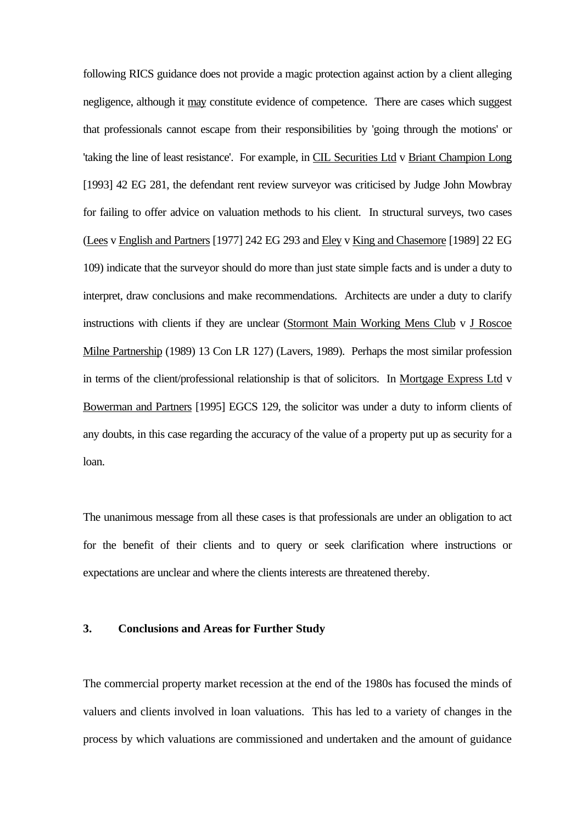following RICS guidance does not provide a magic protection against action by a client alleging negligence, although it may constitute evidence of competence. There are cases which suggest that professionals cannot escape from their responsibilities by 'going through the motions' or 'taking the line of least resistance'. For example, in CIL Securities Ltd v Briant Champion Long [1993] 42 EG 281, the defendant rent review surveyor was criticised by Judge John Mowbray for failing to offer advice on valuation methods to his client. In structural surveys, two cases (Lees v English and Partners [1977] 242 EG 293 and Eley v King and Chasemore [1989] 22 EG 109) indicate that the surveyor should do more than just state simple facts and is under a duty to interpret, draw conclusions and make recommendations. Architects are under a duty to clarify instructions with clients if they are unclear (Stormont Main Working Mens Club v J Roscoe Milne Partnership (1989) 13 Con LR 127) (Lavers, 1989). Perhaps the most similar profession in terms of the client/professional relationship is that of solicitors. In Mortgage Express Ltd v Bowerman and Partners [1995] EGCS 129, the solicitor was under a duty to inform clients of any doubts, in this case regarding the accuracy of the value of a property put up as security for a loan.

The unanimous message from all these cases is that professionals are under an obligation to act for the benefit of their clients and to query or seek clarification where instructions or expectations are unclear and where the clients interests are threatened thereby.

### **3. Conclusions and Areas for Further Study**

The commercial property market recession at the end of the 1980s has focused the minds of valuers and clients involved in loan valuations. This has led to a variety of changes in the process by which valuations are commissioned and undertaken and the amount of guidance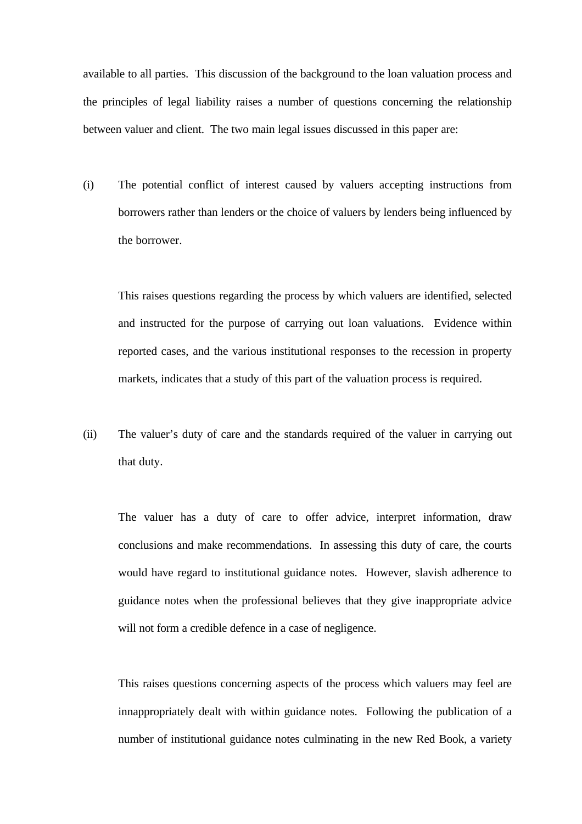available to all parties. This discussion of the background to the loan valuation process and the principles of legal liability raises a number of questions concerning the relationship between valuer and client. The two main legal issues discussed in this paper are:

(i) The potential conflict of interest caused by valuers accepting instructions from borrowers rather than lenders or the choice of valuers by lenders being influenced by the borrower.

This raises questions regarding the process by which valuers are identified, selected and instructed for the purpose of carrying out loan valuations. Evidence within reported cases, and the various institutional responses to the recession in property markets, indicates that a study of this part of the valuation process is required.

(ii) The valuer's duty of care and the standards required of the valuer in carrying out that duty.

The valuer has a duty of care to offer advice, interpret information, draw conclusions and make recommendations. In assessing this duty of care, the courts would have regard to institutional guidance notes. However, slavish adherence to guidance notes when the professional believes that they give inappropriate advice will not form a credible defence in a case of negligence.

This raises questions concerning aspects of the process which valuers may feel are innappropriately dealt with within guidance notes. Following the publication of a number of institutional guidance notes culminating in the new Red Book, a variety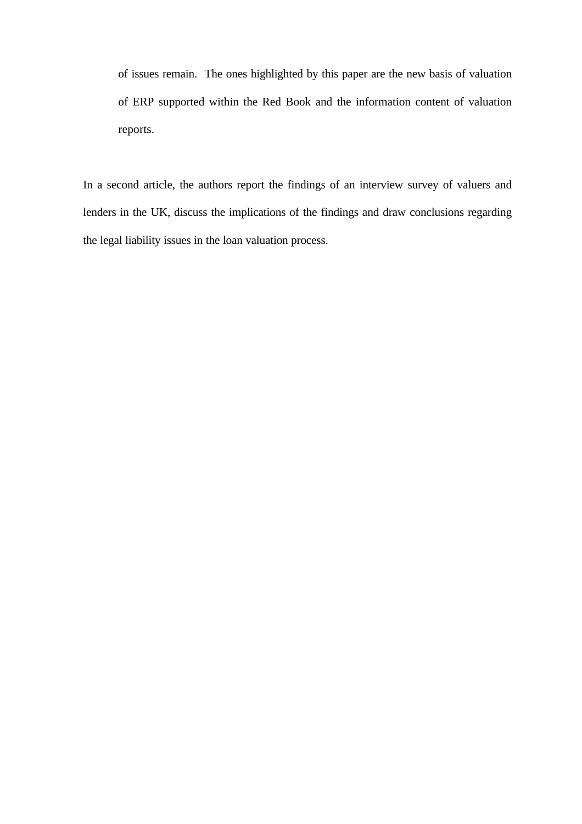of issues remain. The ones highlighted by this paper are the new basis of valuation of ERP supported within the Red Book and the information content of valuation reports.

In a second article, the authors report the findings of an interview survey of valuers and lenders in the UK, discuss the implications of the findings and draw conclusions regarding the legal liability issues in the loan valuation process.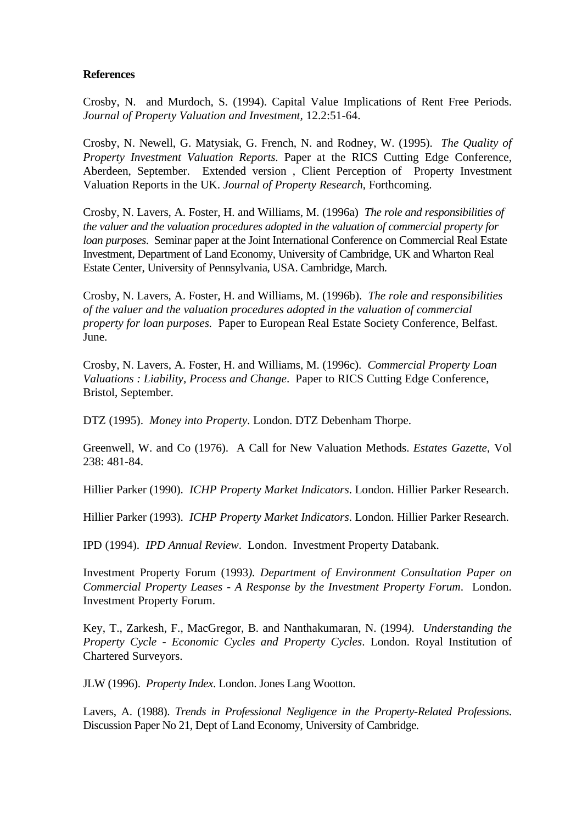## **References**

Crosby, N. and Murdoch, S. (1994). Capital Value Implications of Rent Free Periods. *Journal of Property Valuation and Investment,* 12.2:51-64.

Crosby, N. Newell, G. Matysiak, G. French, N. and Rodney, W. (1995). *The Quality of Property Investment Valuation Reports.* Paper at the RICS Cutting Edge Conference, Aberdeen, September. Extended version , Client Perception of Property Investment Valuation Reports in the UK. *Journal of Property Research*, Forthcoming.

Crosby, N. Lavers, A. Foster, H. and Williams, M. (1996a) *The role and responsibilities of the valuer and the valuation procedures adopted in the valuation of commercial property for loan purposes*. Seminar paper at the Joint International Conference on Commercial Real Estate Investment, Department of Land Economy, University of Cambridge, UK and Wharton Real Estate Center, University of Pennsylvania, USA. Cambridge, March.

Crosby, N. Lavers, A. Foster, H. and Williams, M. (1996b). *The role and responsibilities of the valuer and the valuation procedures adopted in the valuation of commercial property for loan purposes.* Paper to European Real Estate Society Conference, Belfast. June.

Crosby, N. Lavers, A. Foster, H. and Williams, M. (1996c). *Commercial Property Loan Valuations : Liability, Process and Change*. Paper to RICS Cutting Edge Conference, Bristol, September.

DTZ (1995). *Money into Property*. London. DTZ Debenham Thorpe.

Greenwell, W. and Co (1976). A Call for New Valuation Methods. *Estates Gazette*, Vol 238: 481-84.

Hillier Parker (1990). *ICHP Property Market Indicators*. London. Hillier Parker Research.

Hillier Parker (1993). *ICHP Property Market Indicators*. London. Hillier Parker Research.

IPD (1994). *IPD Annual Review*. London. Investment Property Databank.

Investment Property Forum (1993*). Department of Environment Consultation Paper on Commercial Property Leases - A Response by the Investment Property Forum*. London. Investment Property Forum.

Key, T., Zarkesh, F., MacGregor, B. and Nanthakumaran, N. (1994*). Understanding the Property Cycle - Economic Cycles and Property Cycles*. London. Royal Institution of Chartered Surveyors.

JLW (1996). *Property Index*. London. Jones Lang Wootton.

Lavers, A. (1988). *Trends in Professional Negligence in the Property-Related Professions*. Discussion Paper No 21, Dept of Land Economy, University of Cambridge.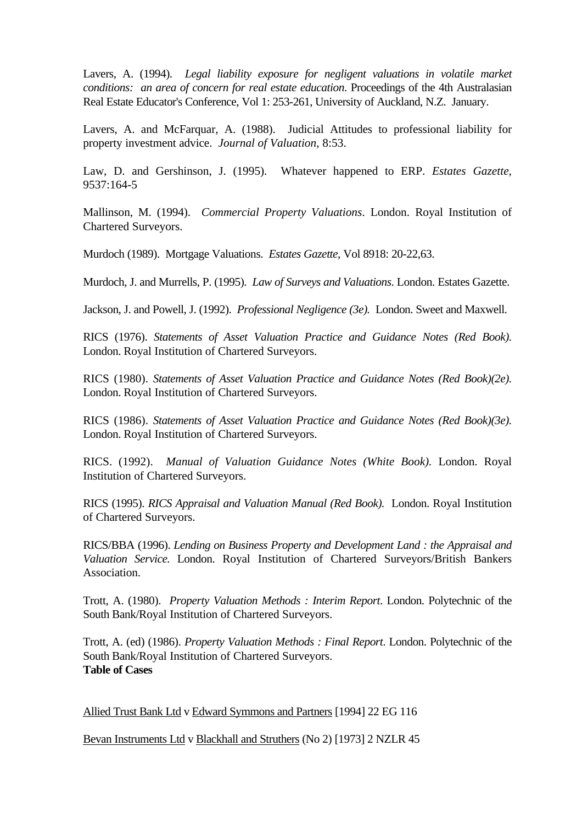Lavers, A. (1994). *Legal liability exposure for negligent valuations in volatile market conditions: an area of concern for real estate education*. Proceedings of the 4th Australasian Real Estate Educator's Conference, Vol 1: 253-261, University of Auckland, N.Z. January.

Lavers, A. and McFarquar, A. (1988). Judicial Attitudes to professional liability for property investment advice. *Journal of Valuation*, 8:53.

Law, D. and Gershinson, J. (1995). Whatever happened to ERP. *Estates Gazette,* 9537:164-5

Mallinson, M. (1994). *Commercial Property Valuations*. London. Royal Institution of Chartered Surveyors.

Murdoch (1989). Mortgage Valuations. *Estates Gazette*, Vol 8918: 20-22,63.

Murdoch, J. and Murrells, P. (1995). *Law of Surveys and Valuations*. London. Estates Gazette.

Jackson, J. and Powell, J. (1992). *Professional Negligence (3e).* London. Sweet and Maxwell.

RICS (1976). *Statements of Asset Valuation Practice and Guidance Notes (Red Book).* London. Royal Institution of Chartered Surveyors.

RICS (1980). *Statements of Asset Valuation Practice and Guidance Notes (Red Book)(2e).* London. Royal Institution of Chartered Surveyors.

RICS (1986). *Statements of Asset Valuation Practice and Guidance Notes (Red Book)(3e).* London. Royal Institution of Chartered Surveyors.

RICS. (1992). *Manual of Valuation Guidance Notes (White Book).* London. Royal Institution of Chartered Surveyors.

RICS (1995). *RICS Appraisal and Valuation Manual (Red Book).* London. Royal Institution of Chartered Surveyors.

RICS/BBA (1996). *Lending on Business Property and Development Land : the Appraisal and Valuation Service.* London. Royal Institution of Chartered Surveyors/British Bankers Association.

Trott, A. (1980). *Property Valuation Methods : Interim Report*. London. Polytechnic of the South Bank/Royal Institution of Chartered Surveyors.

Trott, A. (ed) (1986). *Property Valuation Methods : Final Report*. London. Polytechnic of the South Bank/Royal Institution of Chartered Surveyors. **Table of Cases**

Allied Trust Bank Ltd v Edward Symmons and Partners [1994] 22 EG 116

Bevan Instruments Ltd v Blackhall and Struthers (No 2) [1973] 2 NZLR 45